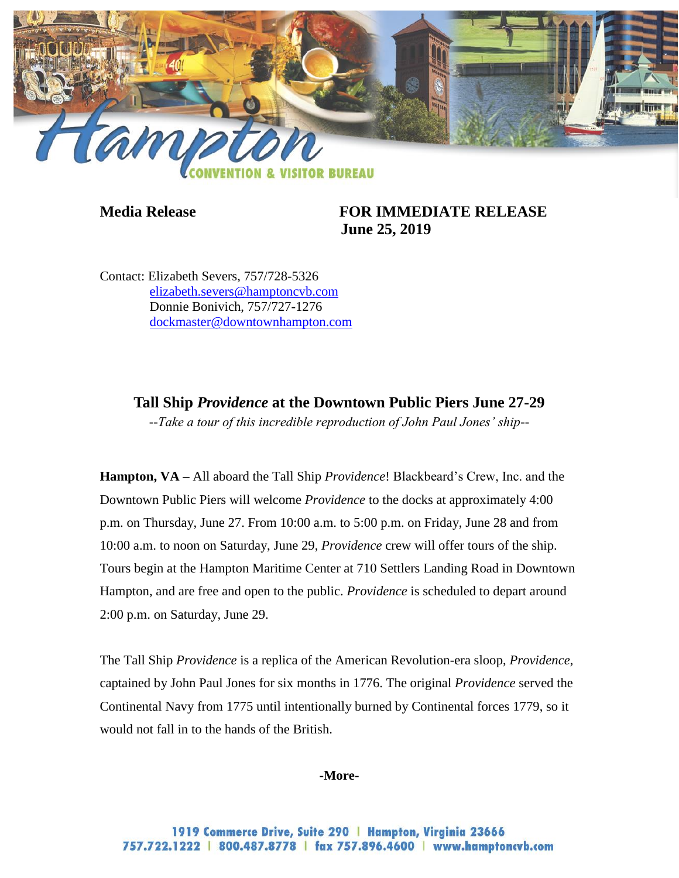

## **Media Release FOR IMMEDIATE RELEASE June 25, 2019**

Contact: Elizabeth Severs, 757/728-5326 [elizabeth.severs@hamptoncvb.com](mailto:elizabeth.severs@hamptoncvb.com) Donnie Bonivich, 757/727-1276 [dockmaster@downtownhampton.com](mailto:dockmaster@downtownhampton.com)

## **Tall Ship** *Providence* **at the Downtown Public Piers June 27-29**

*--Take a tour of this incredible reproduction of John Paul Jones' ship--*

**Hampton, VA –** All aboard the Tall Ship *Providence*! Blackbeard's Crew, Inc. and the Downtown Public Piers will welcome *Providence* to the docks at approximately 4:00 p.m. on Thursday, June 27. From 10:00 a.m. to 5:00 p.m. on Friday, June 28 and from 10:00 a.m. to noon on Saturday, June 29, *Providence* crew will offer tours of the ship. Tours begin at the Hampton Maritime Center at 710 Settlers Landing Road in Downtown Hampton, and are free and open to the public. *Providence* is scheduled to depart around 2:00 p.m. on Saturday, June 29.

The Tall Ship *Providence* is a replica of the American Revolution-era sloop, *Providence*, captained by John Paul Jones for six months in 1776. The original *Providence* served the Continental Navy from 1775 until intentionally burned by Continental forces 1779, so it would not fall in to the hands of the British.

**-More-**